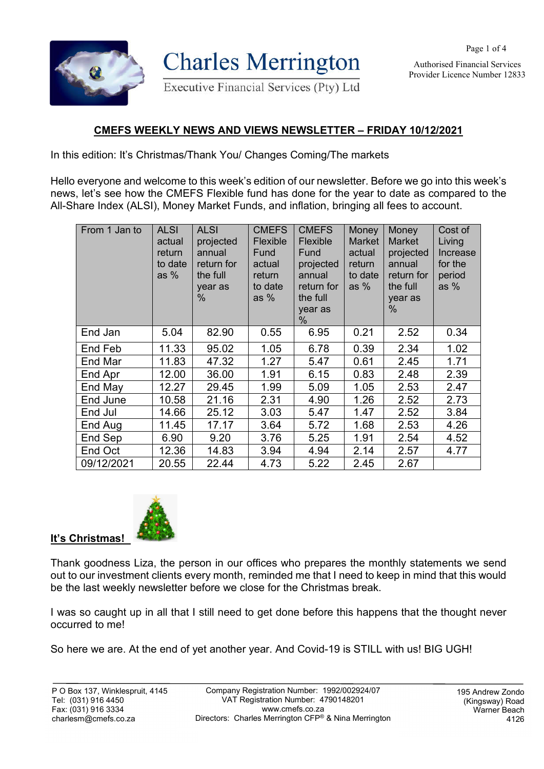

**Charles Merrington** 

Executive Financial Services (Pty) Ltd

Authorised Financial Services Provider Licence Number 12833

Page 1 of 4

## **CMEFS WEEKLY NEWS AND VIEWS NEWSLETTER – FRIDAY 10/12/2021**

In this edition: It's Christmas/Thank You/ Changes Coming/The markets

Hello everyone and welcome to this week's edition of our newsletter. Before we go into this week's news, let's see how the CMEFS Flexible fund has done for the year to date as compared to the All-Share Index (ALSI), Money Market Funds, and inflation, bringing all fees to account.

| From 1 Jan to | <b>ALSI</b><br>actual<br>return<br>to date<br>as $%$ | <b>ALSI</b><br>projected<br>annual<br>return for<br>the full<br>year as<br>$\%$ | <b>CMEFS</b><br>Flexible<br>Fund<br>actual<br>return<br>to date<br>as $%$ | <b>CMEFS</b><br>Flexible<br>Fund<br>projected<br>annual<br>return for<br>the full<br>year as<br>% | Money<br><b>Market</b><br>actual<br>return<br>to date<br>as $%$ | Money<br><b>Market</b><br>projected<br>annual<br>return for<br>the full<br>year as<br>$\%$ | Cost of<br>Living<br>Increase<br>for the<br>period<br>as $%$ |
|---------------|------------------------------------------------------|---------------------------------------------------------------------------------|---------------------------------------------------------------------------|---------------------------------------------------------------------------------------------------|-----------------------------------------------------------------|--------------------------------------------------------------------------------------------|--------------------------------------------------------------|
| End Jan       | 5.04                                                 | 82.90                                                                           | 0.55                                                                      | 6.95                                                                                              | 0.21                                                            | 2.52                                                                                       | 0.34                                                         |
| End Feb       | 11.33                                                | 95.02                                                                           | 1.05                                                                      | 6.78                                                                                              | 0.39                                                            | 2.34                                                                                       | 1.02                                                         |
| End Mar       | 11.83                                                | 47.32                                                                           | 1.27                                                                      | 5.47                                                                                              | 0.61                                                            | 2.45                                                                                       | 1.71                                                         |
| End Apr       | 12.00                                                | 36.00                                                                           | 1.91                                                                      | 6.15                                                                                              | 0.83                                                            | 2.48                                                                                       | 2.39                                                         |
| End May       | 12.27                                                | 29.45                                                                           | 1.99                                                                      | 5.09                                                                                              | 1.05                                                            | 2.53                                                                                       | 2.47                                                         |
| End June      | 10.58                                                | 21.16                                                                           | 2.31                                                                      | 4.90                                                                                              | 1.26                                                            | 2.52                                                                                       | 2.73                                                         |
| End Jul       | 14.66                                                | 25.12                                                                           | 3.03                                                                      | 5.47                                                                                              | 1.47                                                            | 2.52                                                                                       | 3.84                                                         |
| End Aug       | 11.45                                                | 17.17                                                                           | 3.64                                                                      | 5.72                                                                                              | 1.68                                                            | 2.53                                                                                       | 4.26                                                         |
| End Sep       | 6.90                                                 | 9.20                                                                            | 3.76                                                                      | 5.25                                                                                              | 1.91                                                            | 2.54                                                                                       | 4.52                                                         |
| End Oct       | 12.36                                                | 14.83                                                                           | 3.94                                                                      | 4.94                                                                                              | 2.14                                                            | 2.57                                                                                       | 4.77                                                         |
| 09/12/2021    | 20.55                                                | 22.44                                                                           | 4.73                                                                      | 5.22                                                                                              | 2.45                                                            | 2.67                                                                                       |                                                              |



Thank goodness Liza, the person in our offices who prepares the monthly statements we send out to our investment clients every month, reminded me that I need to keep in mind that this would be the last weekly newsletter before we close for the Christmas break.

I was so caught up in all that I still need to get done before this happens that the thought never occurred to me!

So here we are. At the end of yet another year. And Covid-19 is STILL with us! BIG UGH!

**It's Christmas!**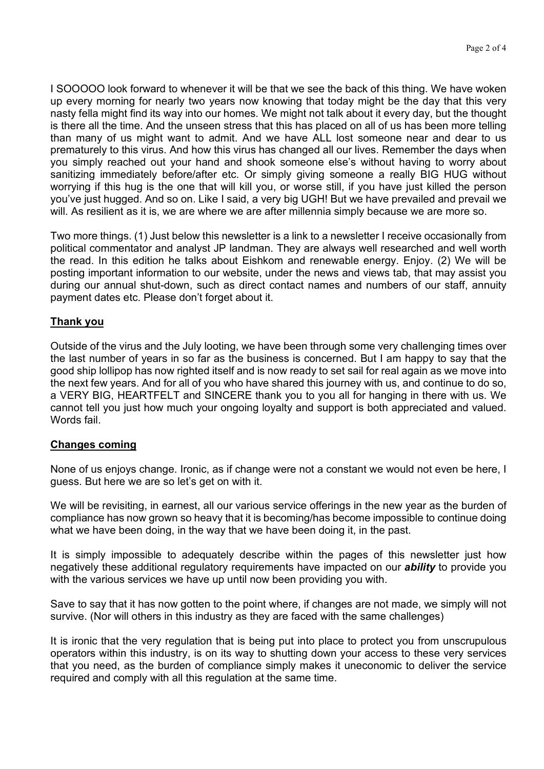I SOOOOO look forward to whenever it will be that we see the back of this thing. We have woken up every morning for nearly two years now knowing that today might be the day that this very nasty fella might find its way into our homes. We might not talk about it every day, but the thought is there all the time. And the unseen stress that this has placed on all of us has been more telling than many of us might want to admit. And we have ALL lost someone near and dear to us prematurely to this virus. And how this virus has changed all our lives. Remember the days when you simply reached out your hand and shook someone else's without having to worry about sanitizing immediately before/after etc. Or simply giving someone a really BIG HUG without worrying if this hug is the one that will kill you, or worse still, if you have just killed the person you've just hugged. And so on. Like I said, a very big UGH! But we have prevailed and prevail we will. As resilient as it is, we are where we are after millennia simply because we are more so.

Two more things. (1) Just below this newsletter is a link to a newsletter I receive occasionally from political commentator and analyst JP landman. They are always well researched and well worth the read. In this edition he talks about Eishkom and renewable energy. Enjoy. (2) We will be posting important information to our website, under the news and views tab, that may assist you during our annual shut-down, such as direct contact names and numbers of our staff, annuity payment dates etc. Please don't forget about it.

## **Thank you**

Outside of the virus and the July looting, we have been through some very challenging times over the last number of years in so far as the business is concerned. But I am happy to say that the good ship lollipop has now righted itself and is now ready to set sail for real again as we move into the next few years. And for all of you who have shared this journey with us, and continue to do so, a VERY BIG, HEARTFELT and SINCERE thank you to you all for hanging in there with us. We cannot tell you just how much your ongoing loyalty and support is both appreciated and valued. Words fail.

## **Changes coming**

None of us enjoys change. Ironic, as if change were not a constant we would not even be here, I guess. But here we are so let's get on with it.

We will be revisiting, in earnest, all our various service offerings in the new year as the burden of compliance has now grown so heavy that it is becoming/has become impossible to continue doing what we have been doing, in the way that we have been doing it, in the past.

It is simply impossible to adequately describe within the pages of this newsletter just how negatively these additional regulatory requirements have impacted on our *ability* to provide you with the various services we have up until now been providing you with.

Save to say that it has now gotten to the point where, if changes are not made, we simply will not survive. (Nor will others in this industry as they are faced with the same challenges)

It is ironic that the very regulation that is being put into place to protect you from unscrupulous operators within this industry, is on its way to shutting down your access to these very services that you need, as the burden of compliance simply makes it uneconomic to deliver the service required and comply with all this regulation at the same time.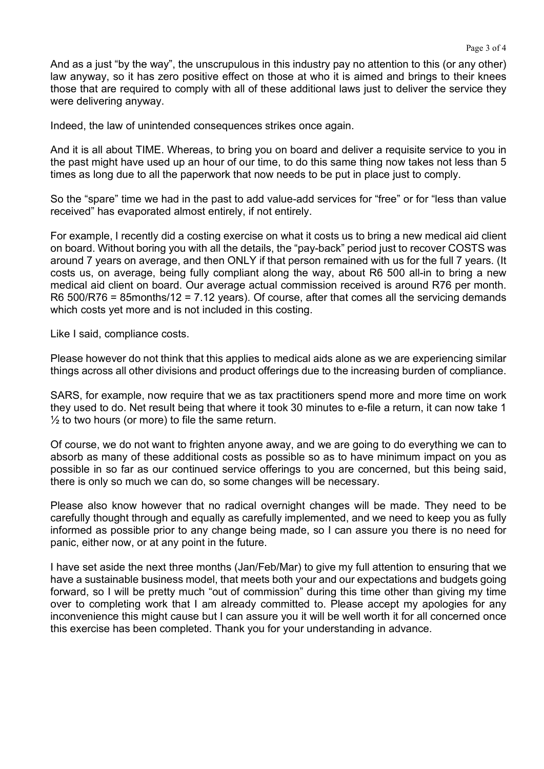And as a just "by the way", the unscrupulous in this industry pay no attention to this (or any other) law anyway, so it has zero positive effect on those at who it is aimed and brings to their knees those that are required to comply with all of these additional laws just to deliver the service they were delivering anyway.

Indeed, the law of unintended consequences strikes once again.

And it is all about TIME. Whereas, to bring you on board and deliver a requisite service to you in the past might have used up an hour of our time, to do this same thing now takes not less than 5 times as long due to all the paperwork that now needs to be put in place just to comply.

So the "spare" time we had in the past to add value-add services for "free" or for "less than value received" has evaporated almost entirely, if not entirely.

For example, I recently did a costing exercise on what it costs us to bring a new medical aid client on board. Without boring you with all the details, the "pay-back" period just to recover COSTS was around 7 years on average, and then ONLY if that person remained with us for the full 7 years. (It costs us, on average, being fully compliant along the way, about R6 500 all-in to bring a new medical aid client on board. Our average actual commission received is around R76 per month. R6 500/R76 = 85months/12 = 7.12 years). Of course, after that comes all the servicing demands which costs yet more and is not included in this costing.

Like I said, compliance costs.

Please however do not think that this applies to medical aids alone as we are experiencing similar things across all other divisions and product offerings due to the increasing burden of compliance.

SARS, for example, now require that we as tax practitioners spend more and more time on work they used to do. Net result being that where it took 30 minutes to e-file a return, it can now take 1  $\frac{1}{2}$  to two hours (or more) to file the same return.

Of course, we do not want to frighten anyone away, and we are going to do everything we can to absorb as many of these additional costs as possible so as to have minimum impact on you as possible in so far as our continued service offerings to you are concerned, but this being said, there is only so much we can do, so some changes will be necessary.

Please also know however that no radical overnight changes will be made. They need to be carefully thought through and equally as carefully implemented, and we need to keep you as fully informed as possible prior to any change being made, so I can assure you there is no need for panic, either now, or at any point in the future.

I have set aside the next three months (Jan/Feb/Mar) to give my full attention to ensuring that we have a sustainable business model, that meets both your and our expectations and budgets going forward, so I will be pretty much "out of commission" during this time other than giving my time over to completing work that I am already committed to. Please accept my apologies for any inconvenience this might cause but I can assure you it will be well worth it for all concerned once this exercise has been completed. Thank you for your understanding in advance.